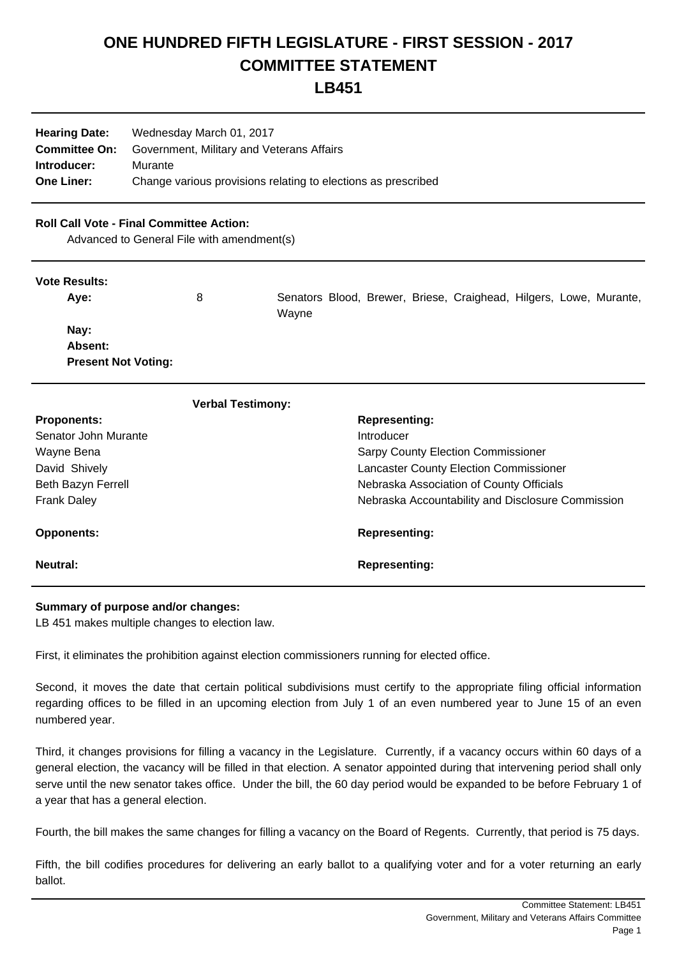# **ONE HUNDRED FIFTH LEGISLATURE - FIRST SESSION - 2017 COMMITTEE STATEMENT**

## **LB451**

| <b>Hearing Date:</b> | Wednesday March 01, 2017                                      |  |
|----------------------|---------------------------------------------------------------|--|
| <b>Committee On:</b> | Government, Military and Veterans Affairs                     |  |
| Introducer:          | Murante                                                       |  |
| <b>One Liner:</b>    | Change various provisions relating to elections as prescribed |  |

### **Roll Call Vote - Final Committee Action:**

Advanced to General File with amendment(s)

#### **Vote Results:**

| Ave:                       | 8 | Senators Blood, Brewer, Briese, Craighead, Hilgers, Lowe, Murante,<br>Wayne |
|----------------------------|---|-----------------------------------------------------------------------------|
| Nay:                       |   |                                                                             |
| <b>Absent:</b>             |   |                                                                             |
| <b>Present Not Voting:</b> |   |                                                                             |

| <b>Verbal Testimony:</b> |                                                   |
|--------------------------|---------------------------------------------------|
| <b>Proponents:</b>       | <b>Representing:</b>                              |
| Senator John Murante     | Introducer                                        |
| Wayne Bena               | <b>Sarpy County Election Commissioner</b>         |
| David Shively            | <b>Lancaster County Election Commissioner</b>     |
| Beth Bazyn Ferrell       | Nebraska Association of County Officials          |
| <b>Frank Daley</b>       | Nebraska Accountability and Disclosure Commission |
| <b>Opponents:</b>        | <b>Representing:</b>                              |
| Neutral:                 | <b>Representing:</b>                              |

#### **Summary of purpose and/or changes:**

LB 451 makes multiple changes to election law.

First, it eliminates the prohibition against election commissioners running for elected office.

Second, it moves the date that certain political subdivisions must certify to the appropriate filing official information regarding offices to be filled in an upcoming election from July 1 of an even numbered year to June 15 of an even numbered year.

Third, it changes provisions for filling a vacancy in the Legislature. Currently, if a vacancy occurs within 60 days of a general election, the vacancy will be filled in that election. A senator appointed during that intervening period shall only serve until the new senator takes office. Under the bill, the 60 day period would be expanded to be before February 1 of a year that has a general election.

Fourth, the bill makes the same changes for filling a vacancy on the Board of Regents. Currently, that period is 75 days.

Fifth, the bill codifies procedures for delivering an early ballot to a qualifying voter and for a voter returning an early ballot.